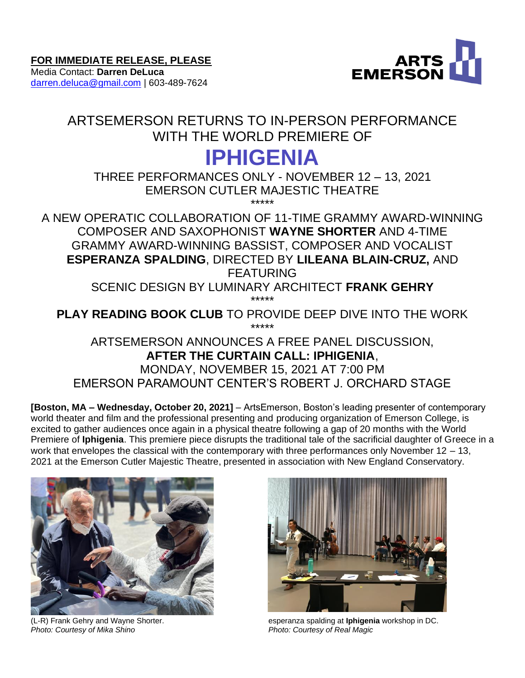Media Contact: **Darren DeLuca** [darren.deluca@gmail.com](mailto:darren.deluca@gmail.com) | 603-489-7624



# ARTSEMERSON RETURNS TO IN-PERSON PERFORMANCE WITH THE WORLD PREMIERE OF

# **IPHIGENIA**

THREE PERFORMANCES ONLY - NOVEMBER 12 – 13, 2021 EMERSON CUTLER MAJESTIC THEATRE \*\*\*\*\*

A NEW OPERATIC COLLABORATION OF 11-TIME GRAMMY AWARD-WINNING COMPOSER AND SAXOPHONIST **WAYNE SHORTER** AND 4-TIME GRAMMY AWARD-WINNING BASSIST, COMPOSER AND VOCALIST **ESPERANZA SPALDING**, DIRECTED BY **LILEANA BLAIN-CRUZ,** AND FEATURING

SCENIC DESIGN BY LUMINARY ARCHITECT **FRANK GEHRY** \*\*\*\*\*

**PLAY READING BOOK CLUB** TO PROVIDE DEEP DIVE INTO THE WORK \*\*\*\*\*

ARTSEMERSON ANNOUNCES A FREE PANEL DISCUSSION, **AFTER THE CURTAIN CALL: IPHIGENIA**, MONDAY, NOVEMBER 15, 2021 AT 7:00 PM EMERSON PARAMOUNT CENTER'S ROBERT J. ORCHARD STAGE

**[Boston, MA – Wednesday, October 20, 2021]** – ArtsEmerson, Boston's leading presenter of contemporary world theater and film and the professional presenting and producing organization of Emerson College, is excited to gather audiences once again in a physical theatre following a gap of 20 months with the World Premiere of **Iphigenia**. This premiere piece disrupts the traditional tale of the sacrificial daughter of Greece in a work that envelopes the classical with the contemporary with three performances only November  $12 - 13$ , 2021 at the Emerson Cutler Majestic Theatre, presented in association with New England Conservatory.



**Photo: Courtesy of Mika Shino** 



(L-R) Frank Gehry and Wayne Shorter. esperanza spalding at **Iphigenia** workshop in DC.<br>Photo: Courtesy of Mika Shino<br>Photo: Courtesy of Real Magic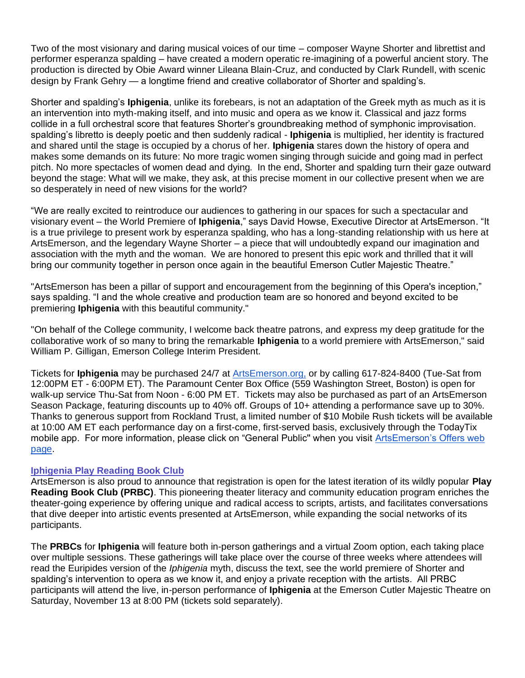Two of the most visionary and daring musical voices of our time – composer Wayne Shorter and librettist and performer esperanza spalding – have created a modern operatic re-imagining of a powerful ancient story. The production is directed by Obie Award winner Lileana Blain-Cruz, and conducted by Clark Rundell, with scenic design by Frank Gehry — a longtime friend and creative collaborator of Shorter and spalding's.

Shorter and spalding's **Iphigenia**, unlike its forebears, is not an adaptation of the Greek myth as much as it is an intervention into myth-making itself, and into music and opera as we know it. Classical and jazz forms collide in a full orchestral score that features Shorter's groundbreaking method of symphonic improvisation. spalding's libretto is deeply poetic and then suddenly radical - **Iphigenia** is multiplied, her identity is fractured and shared until the stage is occupied by a chorus of her. **Iphigenia** stares down the history of opera and makes some demands on its future: No more tragic women singing through suicide and going mad in perfect pitch. No more spectacles of women dead and dying. In the end, Shorter and spalding turn their gaze outward beyond the stage: What will we make, they ask, at this precise moment in our collective present when we are so desperately in need of new visions for the world?

"We are really excited to reintroduce our audiences to gathering in our spaces for such a spectacular and visionary event – the World Premiere of **Iphigenia**," says David Howse, Executive Director at ArtsEmerson. "It is a true privilege to present work by esperanza spalding, who has a long-standing relationship with us here at ArtsEmerson, and the legendary Wayne Shorter – a piece that will undoubtedly expand our imagination and association with the myth and the woman. We are honored to present this epic work and thrilled that it will bring our community together in person once again in the beautiful Emerson Cutler Majestic Theatre."

"ArtsEmerson has been a pillar of support and encouragement from the beginning of this Opera's inception," says spalding. "I and the whole creative and production team are so honored and beyond excited to be premiering **Iphigenia** with this beautiful community."

"On behalf of the College community, I welcome back theatre patrons, and express my deep gratitude for the collaborative work of so many to bring the remarkable **Iphigenia** to a world premiere with ArtsEmerson," said William P. Gilligan, Emerson College Interim President.

Tickets for **Iphigenia** may be purchased 24/7 at [ArtsEmerson.org,](https://artsemerson.org/events/iphigenia/) or by calling 617-824-8400 (Tue-Sat from 12:00PM ET - 6:00PM ET). The Paramount Center Box Office (559 Washington Street, Boston) is open for walk-up service Thu-Sat from Noon - 6:00 PM ET. Tickets may also be purchased as part of an ArtsEmerson Season Package, featuring discounts up to 40% off. Groups of 10+ attending a performance save up to 30%. Thanks to generous support from Rockland Trust, a limited number of \$10 Mobile Rush tickets will be available at 10:00 AM ET each performance day on a first-come, first-served basis, exclusively through the TodayTix mobile app. For more information, please click on "General Public'' when you visit [ArtsEmerson's Offers web](https://artsemerson.org/packages-offers/offers/)  [page.](https://artsemerson.org/packages-offers/offers/)

#### **Iphigenia Play Reading Book Club**

ArtsEmerson is also proud to announce that registration is open for the latest iteration of its wildly popular **Play Reading Book Club (PRBC)**. This pioneering theater literacy and community education program enriches the theater-going experience by offering unique and radical access to scripts, artists, and facilitates conversations that dive deeper into artistic events presented at ArtsEmerson, while expanding the social networks of its participants.

The **PRBCs** for **Iphigenia** will feature both in-person gatherings and a virtual Zoom option, each taking place over multiple sessions. These gatherings will take place over the course of three weeks where attendees will read the Euripides version of the *Iphigenia* myth, discuss the text, see the world premiere of Shorter and spalding's intervention to opera as we know it, and enjoy a private reception with the artists. All PRBC participants will attend the live, in-person performance of **Iphigenia** at the Emerson Cutler Majestic Theatre on Saturday, November 13 at 8:00 PM (tickets sold separately).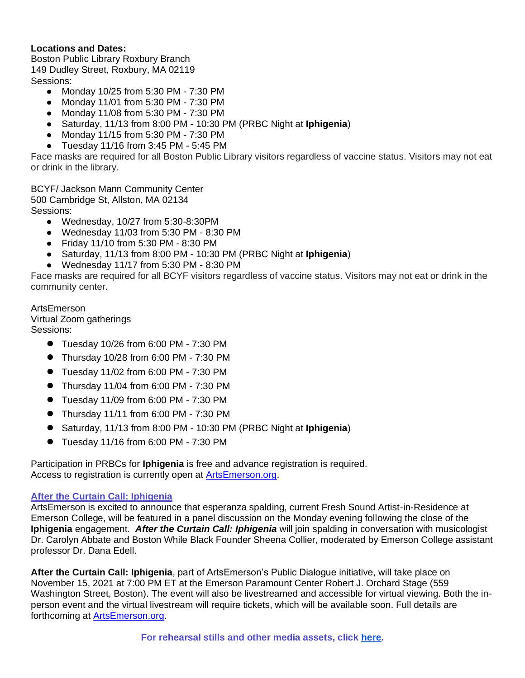# **Locations and Dates:**

Boston Public Library Roxbury Branch 149 Dudley Street, Roxbury, MA 02119 Sessions:

- Monday 10/25 from 5:30 PM 7:30 PM
- Monday 11/01 from 5:30 PM 7:30 PM
- Monday 11/08 from 5:30 PM 7:30 PM
- Saturday, 11/13 from 8:00 PM 10:30 PM (PRBC Night at **Iphigenia**)
- Monday 11/15 from 5:30 PM 7:30 PM
- Tuesday 11/16 from 3:45 PM 5:45 PM

Face masks are required for all Boston Public Library visitors regardless of vaccine status. Visitors may not eat or drink in the library.

BCYF/ Jackson Mann Community Center 500 Cambridge St, Allston, MA 02134 Sessions:

- Wednesday, 10/27 from 5:30-8:30PM
- Wednesday 11/03 from 5:30 PM 8:30 PM
- Friday 11/10 from 5:30 PM 8:30 PM
- Saturday, 11/13 from 8:00 PM 10:30 PM (PRBC Night at **Iphigenia**)
- Wednesday 11/17 from 5:30 PM 8:30 PM

Face masks are required for all BCYF visitors regardless of vaccine status. Visitors may not eat or drink in the community center.

ArtsEmerson

Virtual Zoom gatherings Sessions:

- **●** Tuesday 10/26 from 6:00 PM 7:30 PM
- **●** Thursday 10/28 from 6:00 PM 7:30 PM
- **●** Tuesday 11/02 from 6:00 PM 7:30 PM
- **●** Thursday 11/04 from 6:00 PM 7:30 PM
- **●** Tuesday 11/09 from 6:00 PM 7:30 PM
- **●** Thursday 11/11 from 6:00 PM 7:30 PM
- **●** Saturday, 11/13 from 8:00 PM 10:30 PM (PRBC Night at **Iphigenia**)
- **●** Tuesday 11/16 from 6:00 PM 7:30 PM

Participation in PRBCs for **Iphigenia** is free and advance registration is required. Access to registration is currently open at **ArtsEmerson.org**.

# **After the Curtain Call: Iphigenia**

ArtsEmerson is excited to announce that esperanza spalding, current Fresh Sound Artist-in-Residence at Emerson College, will be featured in a panel discussion on the Monday evening following the close of the **Iphigenia** engagement. *After the Curtain Call: Iphigenia* will join spalding in conversation with musicologist Dr. Carolyn Abbate and Boston While Black Founder Sheena Collier, moderated by Emerson College assistant professor Dr. Dana Edell.

**After the Curtain Call: Iphigenia**, part of ArtsEmerson's Public Dialogue initiative, will take place on November 15, 2021 at 7:00 PM ET at the Emerson Paramount Center Robert J. Orchard Stage (559 Washington Street, Boston). The event will also be livestreamed and accessible for virtual viewing. Both the inperson event and the virtual livestream will require tickets, which will be available soon. Full details are forthcoming at [ArtsEmerson.org.](http://artsemerson.org/)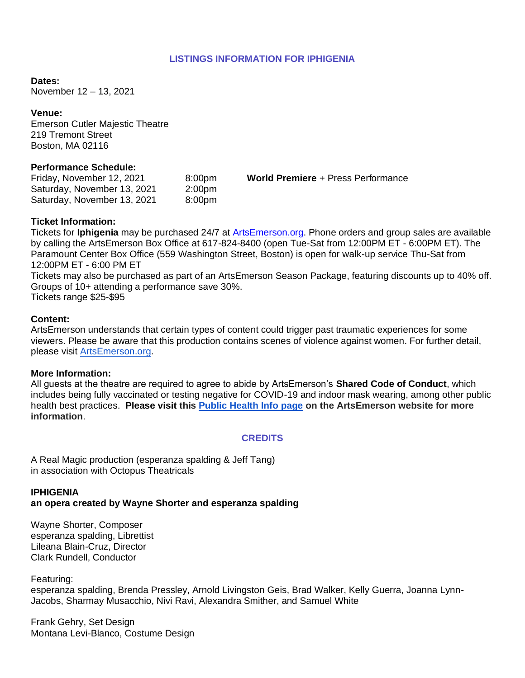# **LISTINGS INFORMATION FOR IPHIGENIA**

**Dates:**

November 12 – 13, 2021

**Venue:** Emerson Cutler Majestic Theatre 219 Tremont Street Boston, MA 02116

#### **Performance Schedule:**

Friday, November 12, 2021 8:00pm **World Premiere** + Press Performance Saturday, November 13, 2021 2:00pm Saturday, November 13, 2021 8:00pm

#### **Ticket Information:**

Tickets for **Iphigenia** may be purchased 24/7 at [ArtsEmerson.org.](https://artsemerson.org/Online/default.asp) Phone orders and group sales are available by calling the ArtsEmerson Box Office at 617-824-8400 (open Tue-Sat from 12:00PM ET - 6:00PM ET). The Paramount Center Box Office (559 Washington Street, Boston) is open for walk-up service Thu-Sat from 12:00PM ET - 6:00 PM ET

Tickets may also be purchased as part of an ArtsEmerson Season Package, featuring discounts up to 40% off. Groups of 10+ attending a performance save 30%. Tickets range \$25-\$95

#### **Content:**

ArtsEmerson understands that certain types of content could trigger past traumatic experiences for some viewers. Please be aware that this production contains scenes of violence against women. For further detail, please visit [ArtsEmerson.org.](https://artsemerson.org/)

#### **More Information:**

All guests at the theatre are required to agree to abide by ArtsEmerson's **Shared Code of Conduct**, which includes being fully vaccinated or testing negative for COVID-19 and indoor mask wearing, among other public health best practices. **Please visit this [Public Health Info page](https://artsemerson.org/visit/public-health/) on the ArtsEmerson website for more information**.

#### **CREDITS**

A Real Magic production (esperanza spalding & Jeff Tang) in association with Octopus Theatricals

# **IPHIGENIA**

# **an opera created by Wayne Shorter and esperanza spalding**

Wayne Shorter, Composer esperanza spalding, Librettist Lileana Blain-Cruz, Director Clark Rundell, Conductor

Featuring:

esperanza spalding, Brenda Pressley, Arnold Livingston Geis, Brad Walker, Kelly Guerra, Joanna Lynn-Jacobs, Sharmay Musacchio, Nivi Ravi, Alexandra Smither, and Samuel White

Frank Gehry, Set Design Montana Levi-Blanco, Costume Design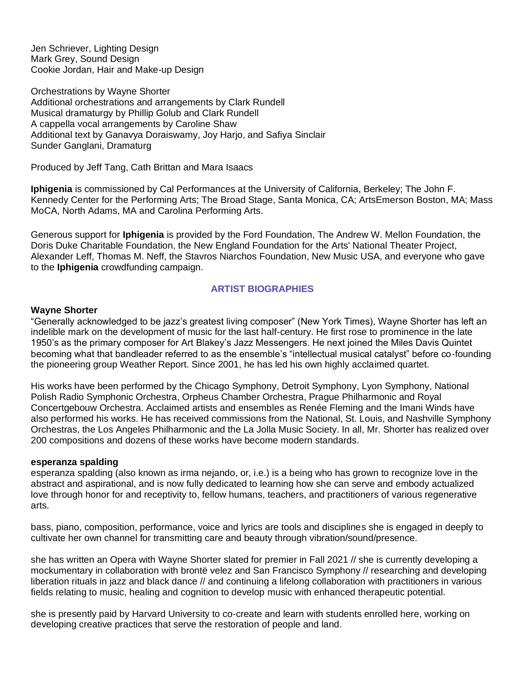Jen Schriever, Lighting Design Mark Grey, Sound Design Cookie Jordan, Hair and Make-up Design

Orchestrations by Wayne Shorter Additional orchestrations and arrangements by Clark Rundell Musical dramaturgy by Phillip Golub and Clark Rundell A cappella vocal arrangements by Caroline Shaw Additional text by Ganavya Doraiswamy, Joy Harjo, and Safiya Sinclair Sunder Ganglani, Dramaturg

Produced by Jeff Tang, Cath Brittan and Mara Isaacs

**Iphigenia** is commissioned by Cal Performances at the University of California, Berkeley; The John F. Kennedy Center for the Performing Arts; The Broad Stage, Santa Monica, CA; ArtsEmerson Boston, MA; Mass MoCA, North Adams, MA and Carolina Performing Arts.

Generous support for **Iphigenia** is provided by the Ford Foundation, The Andrew W. Mellon Foundation, the Doris Duke Charitable Foundation, the New England Foundation for the Arts' National Theater Project, Alexander Leff, Thomas M. Neff, the Stavros Niarchos Foundation, New Music USA, and everyone who gave to the **Iphigenia** crowdfunding campaign.

# **ARTIST BIOGRAPHIES**

#### **Wayne Shorter**

"Generally acknowledged to be jazz's greatest living composer" (New York Times), Wayne Shorter has left an indelible mark on the development of music for the last half-century. He first rose to prominence in the late 1950's as the primary composer for Art Blakey's Jazz Messengers. He next joined the Miles Davis Quintet becoming what that bandleader referred to as the ensemble's "intellectual musical catalyst" before co-founding the pioneering group Weather Report. Since 2001, he has led his own highly acclaimed quartet.

His works have been performed by the Chicago Symphony, Detroit Symphony, Lyon Symphony, National Polish Radio Symphonic Orchestra, Orpheus Chamber Orchestra, Prague Philharmonic and Royal Concertgebouw Orchestra. Acclaimed artists and ensembles as Renée Fleming and the Imani Winds have also performed his works. He has received commissions from the National, St. Louis, and Nashville Symphony Orchestras, the Los Angeles Philharmonic and the La Jolla Music Society. In all, Mr. Shorter has realized over 200 compositions and dozens of these works have become modern standards.

#### **esperanza spalding**

esperanza spalding (also known as irma nejando, or, i.e.) is a being who has grown to recognize love in the abstract and aspirational, and is now fully dedicated to learning how she can serve and embody actualized love through honor for and receptivity to, fellow humans, teachers, and practitioners of various regenerative arts.

bass, piano, composition, performance, voice and lyrics are tools and disciplines she is engaged in deeply to cultivate her own channel for transmitting care and beauty through vibration/sound/presence.

she has written an Opera with Wayne Shorter slated for premier in Fall 2021 // she is currently developing a mockumentary in collaboration with brontë velez and San Francisco Symphony // researching and developing liberation rituals in jazz and black dance // and continuing a lifelong collaboration with practitioners in various fields relating to music, healing and cognition to develop music with enhanced therapeutic potential.

she is presently paid by Harvard University to co-create and learn with students enrolled here, working on developing creative practices that serve the restoration of people and land.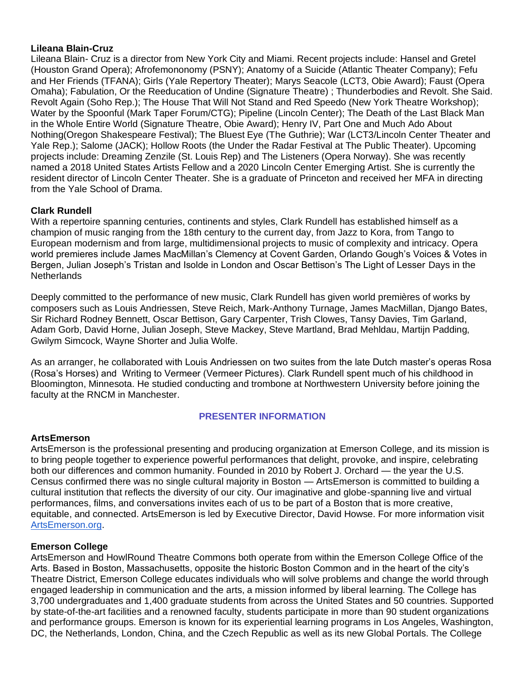#### **Lileana Blain-Cruz**

Lileana Blain- Cruz is a director from New York City and Miami. Recent projects include: Hansel and Gretel (Houston Grand Opera); Afrofemononomy (PSNY); Anatomy of a Suicide (Atlantic Theater Company); Fefu and Her Friends (TFANA); Girls (Yale Repertory Theater); Marys Seacole (LCT3, Obie Award); Faust (Opera Omaha); Fabulation, Or the Reeducation of Undine (Signature Theatre) ; Thunderbodies and Revolt. She Said. Revolt Again (Soho Rep.); The House That Will Not Stand and Red Speedo (New York Theatre Workshop); Water by the Spoonful (Mark Taper Forum/CTG); Pipeline (Lincoln Center); The Death of the Last Black Man in the Whole Entire World (Signature Theatre, Obie Award); Henry IV, Part One and Much Ado About Nothing(Oregon Shakespeare Festival); The Bluest Eye (The Guthrie); War (LCT3/Lincoln Center Theater and Yale Rep.); Salome (JACK); Hollow Roots (the Under the Radar Festival at The Public Theater). Upcoming projects include: Dreaming Zenzile (St. Louis Rep) and The Listeners (Opera Norway). She was recently named a 2018 United States Artists Fellow and a 2020 Lincoln Center Emerging Artist. She is currently the resident director of Lincoln Center Theater. She is a graduate of Princeton and received her MFA in directing from the Yale School of Drama.

# **Clark Rundell**

With a repertoire spanning centuries, continents and styles, Clark Rundell has established himself as a champion of music ranging from the 18th century to the current day, from Jazz to Kora, from Tango to European modernism and from large, multidimensional projects to music of complexity and intricacy. Opera world premieres include James MacMillan's Clemency at Covent Garden, Orlando Gough's Voices & Votes in Bergen, Julian Joseph's Tristan and Isolde in London and Oscar Bettison's The Light of Lesser Days in the **Netherlands** 

Deeply committed to the performance of new music, Clark Rundell has given world premières of works by composers such as Louis Andriessen, Steve Reich, Mark-Anthony Turnage, James MacMillan, Django Bates, Sir Richard Rodney Bennett, Oscar Bettison, Gary Carpenter, Trish Clowes, Tansy Davies, Tim Garland, Adam Gorb, David Horne, Julian Joseph, Steve Mackey, Steve Martland, Brad Mehldau, Martijn Padding, Gwilym Simcock, Wayne Shorter and Julia Wolfe.

As an arranger, he collaborated with Louis Andriessen on two suites from the late Dutch master's operas Rosa (Rosa's Horses) and Writing to Vermeer (Vermeer Pictures). Clark Rundell spent much of his childhood in Bloomington, Minnesota. He studied conducting and trombone at Northwestern University before joining the faculty at the RNCM in Manchester.

# **PRESENTER INFORMATION**

# **ArtsEmerson**

ArtsEmerson is the professional presenting and producing organization at Emerson College, and its mission is to bring people together to experience powerful performances that delight, provoke, and inspire, celebrating both our differences and common humanity. Founded in 2010 by Robert J. Orchard — the year the U.S. Census confirmed there was no single cultural majority in Boston — ArtsEmerson is committed to building a cultural institution that reflects the diversity of our city. Our imaginative and globe-spanning live and virtual performances, films, and conversations invites each of us to be part of a Boston that is more creative, equitable, and connected. ArtsEmerson is led by Executive Director, David Howse. For more information visit [ArtsEmerson.org.](http://artsemerson.org/)

#### **Emerson College**

ArtsEmerson and HowlRound Theatre Commons both operate from within the Emerson College Office of the Arts. Based in Boston, Massachusetts, opposite the historic Boston Common and in the heart of the city's Theatre District, Emerson College educates individuals who will solve problems and change the world through engaged leadership in communication and the arts, a mission informed by liberal learning. The College has 3,700 undergraduates and 1,400 graduate students from across the United States and 50 countries. Supported by state-of-the-art facilities and a renowned faculty, students participate in more than 90 student organizations and performance groups. Emerson is known for its experiential learning programs in Los Angeles, Washington, DC, the Netherlands, London, China, and the Czech Republic as well as its new Global Portals. The College